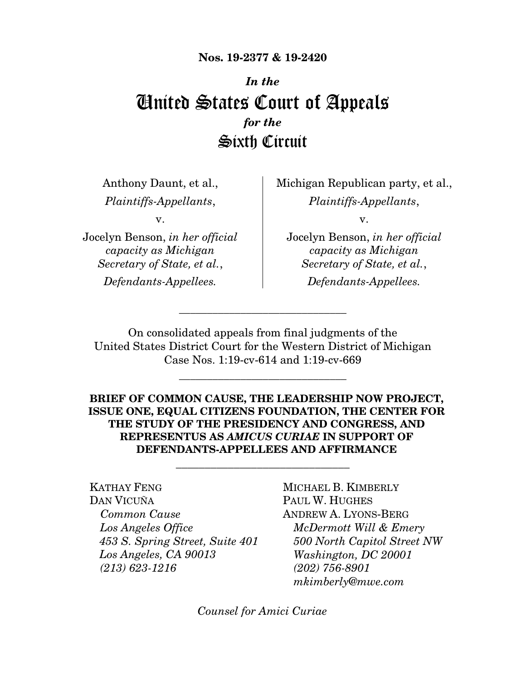#### **Nos. 19-2377 & 19-2420**

# *In the*  United States Court of Appeals *for the*  Sixth Circuit

Anthony Daunt, et al., *Plaintiffs-Appellants*,

v.

Jocelyn Benson, *in her official capacity as Michigan Secretary of State, et al.*, *Defendants-Appellees.*

Michigan Republican party, et al., *Plaintiffs-Appellants*,

v.

Jocelyn Benson, *in her official capacity as Michigan Secretary of State, et al.*, *Defendants-Appellees.*

On consolidated appeals from final judgments of the United States District Court for the Western District of Michigan Case Nos. 1:19-cv-614 and 1:19-cv-669

\_\_\_\_\_\_\_\_\_\_\_\_\_\_\_\_\_\_\_\_\_\_\_\_\_\_\_\_\_\_

\_\_\_\_\_\_\_\_\_\_\_\_\_\_\_\_\_\_\_\_\_\_\_\_\_\_\_\_\_\_

**BRIEF OF COMMON CAUSE, THE LEADERSHIP NOW PROJECT, ISSUE ONE, EQUAL CITIZENS FOUNDATION, THE CENTER FOR THE STUDY OF THE PRESIDENCY AND CONGRESS, AND REPRESENTUS AS** *AMICUS CURIAE* **IN SUPPORT OF DEFENDANTS-APPELLEES AND AFFIRMANCE** 

\_\_\_\_\_\_\_\_\_\_\_\_\_\_\_\_\_\_\_\_\_\_\_\_\_\_\_\_\_\_

KATHAY FENG DAN VICUÑA *Common Cause Los Angeles Office 453 S. Spring Street, Suite 401 Los Angeles, CA 90013 (213) 623-1216*

MICHAEL B. KIMBERLY PAUL W. HUGHES ANDREW A. LYONS-BERG *McDermott Will & Emery 500 North Capitol Street NW Washington, DC 20001 (202) 756-8901 mkimberly@mwe.com*

*Counsel for Amici Curiae*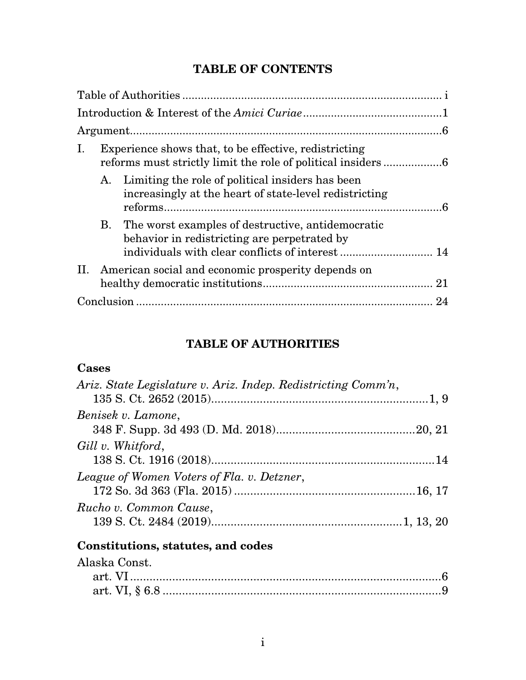# **TABLE OF CONTENTS**

| Ι. | Experience shows that, to be effective, redistricting |                                                                                                               |  |
|----|-------------------------------------------------------|---------------------------------------------------------------------------------------------------------------|--|
|    |                                                       | A. Limiting the role of political insiders has been<br>increasingly at the heart of state-level redistricting |  |
|    |                                                       | B. The worst examples of destructive, antidemocratic<br>behavior in redistricting are perpetrated by          |  |
|    |                                                       | II. American social and economic prosperity depends on                                                        |  |
|    |                                                       |                                                                                                               |  |

# **TABLE OF AUTHORITIES**

# **Cases**

| Ariz. State Legislature v. Ariz. Indep. Redistricting Comm'n, |  |
|---------------------------------------------------------------|--|
| Benisek v. Lamone,                                            |  |
| Gill v. Whitford,                                             |  |
| League of Women Voters of Fla. v. Detzner,                    |  |
| Rucho v. Common Cause,                                        |  |

# **Constitutions, statutes, and codes**

| Alaska Const. |  |
|---------------|--|
|               |  |
|               |  |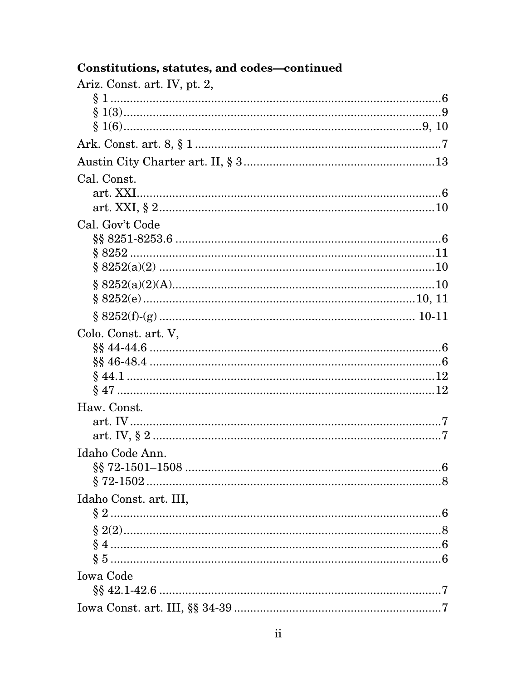# Constitutions, statutes, and codes-continued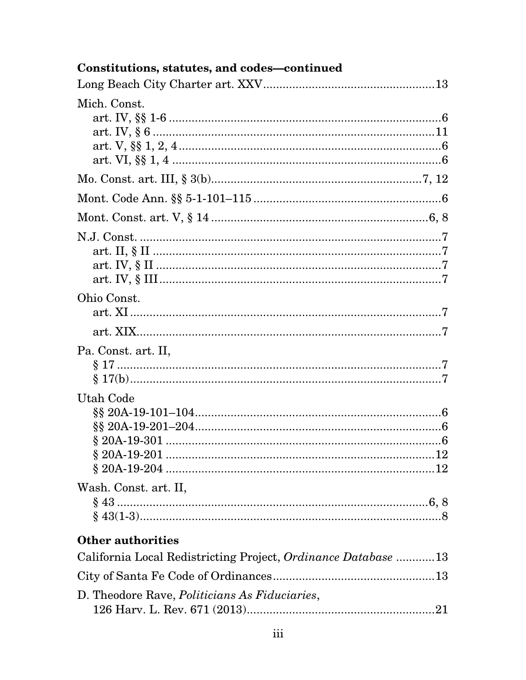| Constitutions, statutes, and codes-continued                  |
|---------------------------------------------------------------|
|                                                               |
| Mich. Const.                                                  |
|                                                               |
|                                                               |
|                                                               |
|                                                               |
| Ohio Const.                                                   |
| Pa. Const. art. II,                                           |
| <b>Utah Code</b>                                              |
| Wash. Const. art. II,                                         |
| <b>Other authorities</b>                                      |
| California Local Redistricting Project, Ordinance Database 13 |
|                                                               |
| D. Theodore Rave, <i>Politicians As Fiduciaries</i> ,         |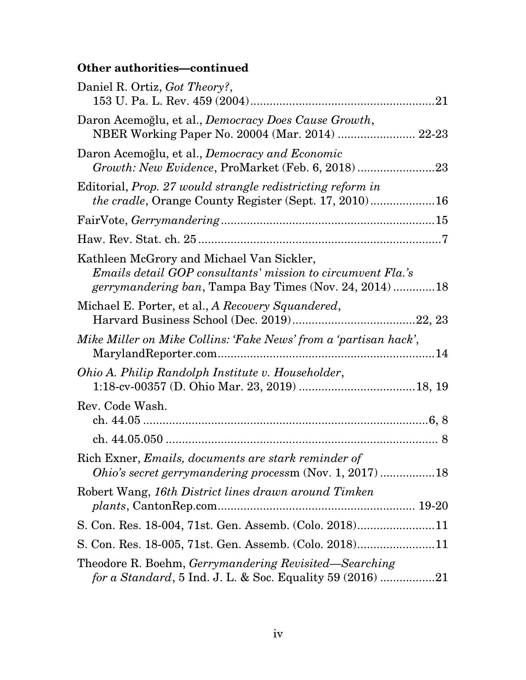# **Other authorities—continued**

| Daniel R. Ortiz, Got Theory?,                                                                                                                                             |
|---------------------------------------------------------------------------------------------------------------------------------------------------------------------------|
| Daron Acemoğlu, et al., Democracy Does Cause Growth,<br>NBER Working Paper No. 20004 (Mar. 2014)  22-23                                                                   |
| Daron Acemoğlu, et al., Democracy and Economic                                                                                                                            |
| Editorial, <i>Prop.</i> 27 would strangle redistricting reform in<br><i>the cradle</i> , Orange County Register (Sept. 17, 2010)16                                        |
|                                                                                                                                                                           |
|                                                                                                                                                                           |
| Kathleen McGrory and Michael Van Sickler,<br>Emails detail GOP consultants' mission to circumvent Fla.'s<br><i>gerrymandering ban</i> , Tampa Bay Times (Nov. 24, 2014)18 |
| Michael E. Porter, et al., A Recovery Squandered,                                                                                                                         |
| Mike Miller on Mike Collins: 'Fake News' from a 'partisan hack',                                                                                                          |
| Ohio A. Philip Randolph Institute v. Householder,                                                                                                                         |
| Rev. Code Wash.                                                                                                                                                           |
|                                                                                                                                                                           |
| Rich Exner, <i>Emails</i> , <i>documents are stark reminder of</i><br>Ohio's secret gerrymandering processm (Nov. 1, 2017) 18                                             |
| Robert Wang, 16th District lines drawn around Timken                                                                                                                      |
| S. Con. Res. 18-004, 71st. Gen. Assemb. (Colo. 2018)11                                                                                                                    |
| S. Con. Res. 18-005, 71st. Gen. Assemb. (Colo. 2018)11                                                                                                                    |
| Theodore R. Boehm, Gerrymandering Revisited—Searching                                                                                                                     |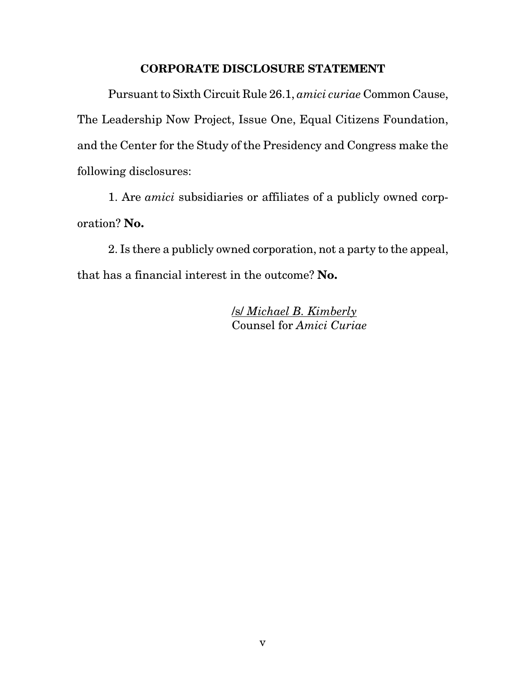#### **CORPORATE DISCLOSURE STATEMENT**

Pursuant to Sixth Circuit Rule 26.1, *amici curiae* Common Cause, The Leadership Now Project, Issue One, Equal Citizens Foundation, and the Center for the Study of the Presidency and Congress make the following disclosures:

1. Are *amici* subsidiaries or affiliates of a publicly owned corporation? **No.** 

2. Is there a publicly owned corporation, not a party to the appeal, that has a financial interest in the outcome? **No.** 

> /s/ *Michael B. Kimberly* Counsel for *Amici Curiae*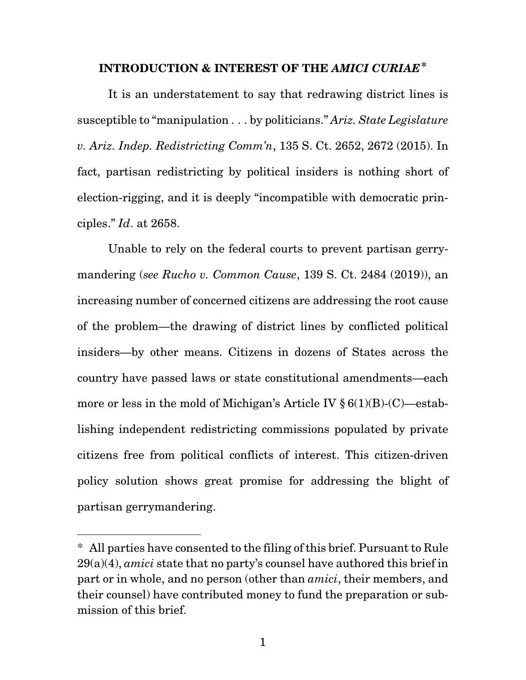#### **INTRODUCTION & INTEREST OF THE** *AMICI CURIAE***\***

It is an understatement to say that redrawing district lines is susceptible to "manipulation . . . by politicians." *Ariz. State Legislature v. Ariz. Indep. Redistricting Comm'n*, 135 S. Ct. 2652, 2672 (2015). In fact, partisan redistricting by political insiders is nothing short of election-rigging, and it is deeply "incompatible with democratic principles." *Id*. at 2658.

Unable to rely on the federal courts to prevent partisan gerrymandering (*see Rucho v. Common Cause*, 139 S. Ct. 2484 (2019)), an increasing number of concerned citizens are addressing the root cause of the problem—the drawing of district lines by conflicted political insiders—by other means. Citizens in dozens of States across the country have passed laws or state constitutional amendments—each more or less in the mold of Michigan's Article IV  $\S 6(1)(B)-(C)$ —establishing independent redistricting commissions populated by private citizens free from political conflicts of interest. This citizen-driven policy solution shows great promise for addressing the blight of partisan gerrymandering.

-

<sup>\*1</sup> All parties have consented to the filing of this brief. Pursuant to Rule 29(a)(4), *amici* state that no party's counsel have authored this brief in part or in whole, and no person (other than *amici*, their members, and their counsel) have contributed money to fund the preparation or submission of this brief.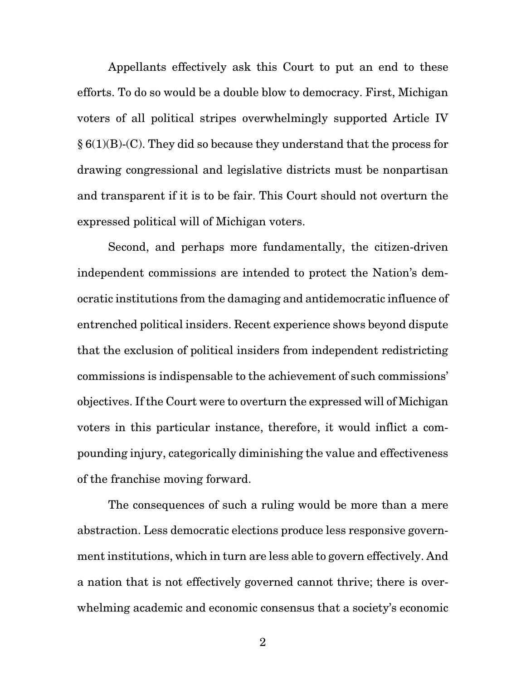Appellants effectively ask this Court to put an end to these efforts. To do so would be a double blow to democracy. First, Michigan voters of all political stripes overwhelmingly supported Article IV § 6(1)(B)-(C). They did so because they understand that the process for drawing congressional and legislative districts must be nonpartisan and transparent if it is to be fair. This Court should not overturn the expressed political will of Michigan voters.

Second, and perhaps more fundamentally, the citizen-driven independent commissions are intended to protect the Nation's democratic institutions from the damaging and antidemocratic influence of entrenched political insiders. Recent experience shows beyond dispute that the exclusion of political insiders from independent redistricting commissions is indispensable to the achievement of such commissions' objectives. If the Court were to overturn the expressed will of Michigan voters in this particular instance, therefore, it would inflict a compounding injury, categorically diminishing the value and effectiveness of the franchise moving forward.

The consequences of such a ruling would be more than a mere abstraction. Less democratic elections produce less responsive government institutions, which in turn are less able to govern effectively. And a nation that is not effectively governed cannot thrive; there is overwhelming academic and economic consensus that a society's economic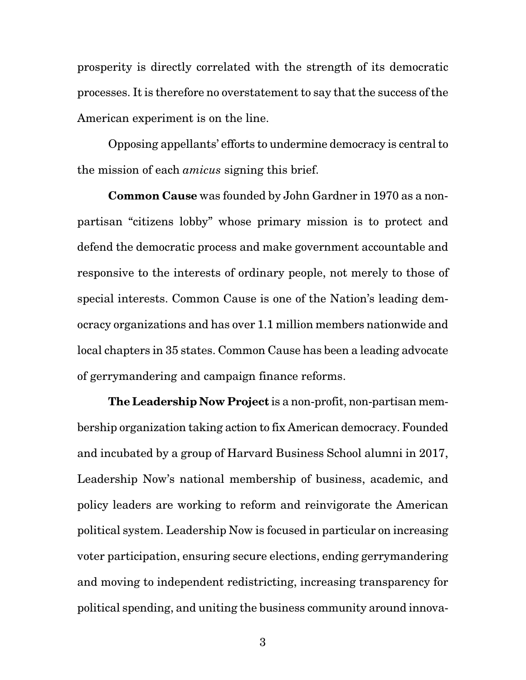prosperity is directly correlated with the strength of its democratic processes. It is therefore no overstatement to say that the success of the American experiment is on the line.

Opposing appellants' efforts to undermine democracy is central to the mission of each *amicus* signing this brief.

**Common Cause** was founded by John Gardner in 1970 as a nonpartisan "citizens lobby" whose primary mission is to protect and defend the democratic process and make government accountable and responsive to the interests of ordinary people, not merely to those of special interests. Common Cause is one of the Nation's leading democracy organizations and has over 1.1 million members nationwide and local chapters in 35 states. Common Cause has been a leading advocate of gerrymandering and campaign finance reforms.

**The Leadership Now Project** is a non-profit, non-partisan membership organization taking action to fix American democracy. Founded and incubated by a group of Harvard Business School alumni in 2017, Leadership Now's national membership of business, academic, and policy leaders are working to reform and reinvigorate the American political system. Leadership Now is focused in particular on increasing voter participation, ensuring secure elections, ending gerrymandering and moving to independent redistricting, increasing transparency for political spending, and uniting the business community around innova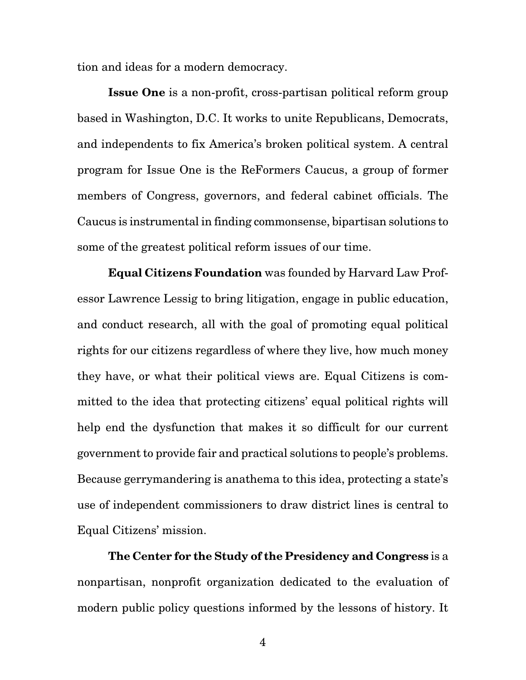tion and ideas for a modern democracy.

**Issue One** is a non-profit, cross-partisan political reform group based in Washington, D.C. It works to unite Republicans, Democrats, and independents to fix America's broken political system. A central program for Issue One is the ReFormers Caucus, a group of former members of Congress, governors, and federal cabinet officials. The Caucus is instrumental in finding commonsense, bipartisan solutions to some of the greatest political reform issues of our time.

**Equal Citizens Foundation** was founded by Harvard Law Professor Lawrence Lessig to bring litigation, engage in public education, and conduct research, all with the goal of promoting equal political rights for our citizens regardless of where they live, how much money they have, or what their political views are. Equal Citizens is committed to the idea that protecting citizens' equal political rights will help end the dysfunction that makes it so difficult for our current government to provide fair and practical solutions to people's problems. Because gerrymandering is anathema to this idea, protecting a state's use of independent commissioners to draw district lines is central to Equal Citizens' mission.

**The Center for the Study of the Presidency and Congress** is a nonpartisan, nonprofit organization dedicated to the evaluation of modern public policy questions informed by the lessons of history. It

4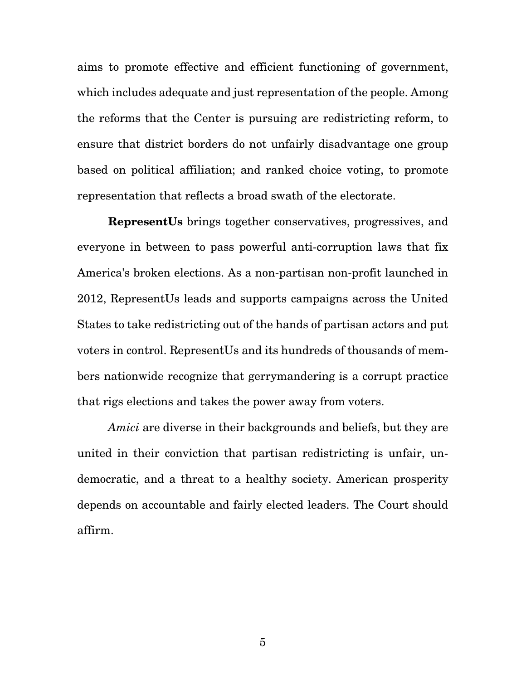aims to promote effective and efficient functioning of government, which includes adequate and just representation of the people. Among the reforms that the Center is pursuing are redistricting reform, to ensure that district borders do not unfairly disadvantage one group based on political affiliation; and ranked choice voting, to promote representation that reflects a broad swath of the electorate.

**RepresentUs** brings together conservatives, progressives, and everyone in between to pass powerful anti-corruption laws that fix America's broken elections. As a non-partisan non-profit launched in 2012, RepresentUs leads and supports campaigns across the United States to take redistricting out of the hands of partisan actors and put voters in control. RepresentUs and its hundreds of thousands of members nationwide recognize that gerrymandering is a corrupt practice that rigs elections and takes the power away from voters.

*Amici* are diverse in their backgrounds and beliefs, but they are united in their conviction that partisan redistricting is unfair, undemocratic, and a threat to a healthy society. American prosperity depends on accountable and fairly elected leaders. The Court should affirm.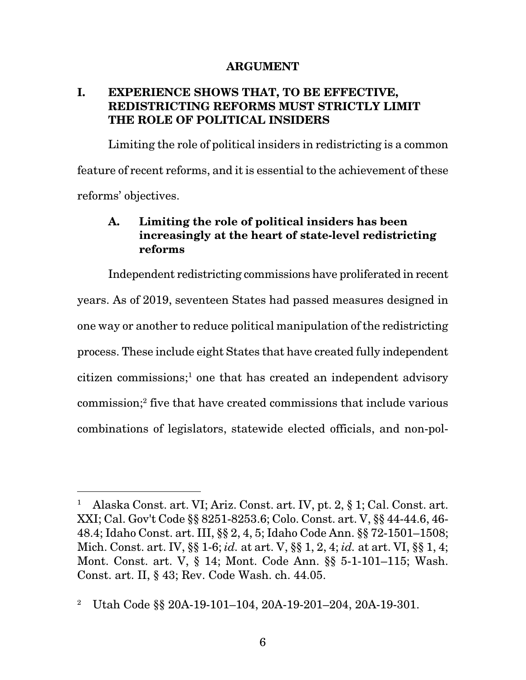#### **ARGUMENT**

### **I. EXPERIENCE SHOWS THAT, TO BE EFFECTIVE, REDISTRICTING REFORMS MUST STRICTLY LIMIT THE ROLE OF POLITICAL INSIDERS**

Limiting the role of political insiders in redistricting is a common feature of recent reforms, and it is essential to the achievement of these reforms' objectives.

## **A. Limiting the role of political insiders has been increasingly at the heart of state-level redistricting reforms**

Independent redistricting commissions have proliferated in recent years. As of 2019, seventeen States had passed measures designed in one way or another to reduce political manipulation of the redistricting process. These include eight States that have created fully independent citizen commissions;<sup>1</sup> one that has created an independent advisory commission;2 five that have created commissions that include various combinations of legislators, statewide elected officials, and non-pol-

 $\overline{a}$ 

<sup>1</sup> Alaska Const. art. VI; Ariz. Const. art. IV, pt. 2, § 1; Cal. Const. art. XXI; Cal. Gov't Code §§ 8251-8253.6; Colo. Const. art. V, §§ 44-44.6, 46- 48.4; Idaho Const. art. III, §§ 2, 4, 5; Idaho Code Ann. §§ 72-1501–1508; Mich. Const. art. IV, §§ 1-6; *id.* at art. V, §§ 1, 2, 4; *id.* at art. VI, §§ 1, 4; Mont. Const. art. V, § 14; Mont. Code Ann. §§ 5-1-101–115; Wash. Const. art. II, § 43; Rev. Code Wash. ch. 44.05.

<sup>2</sup> Utah Code §§ 20A-19-101–104, 20A-19-201–204, 20A-19-301.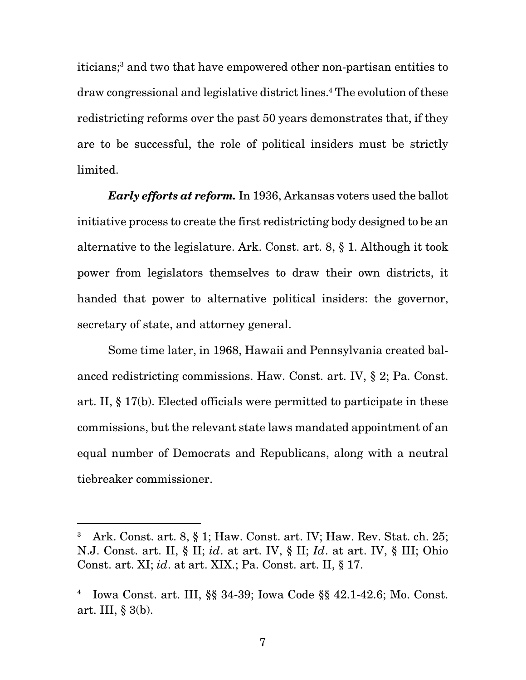iticians;3 and two that have empowered other non-partisan entities to draw congressional and legislative district lines.4 The evolution of these redistricting reforms over the past 50 years demonstrates that, if they are to be successful, the role of political insiders must be strictly limited.

*Early efforts at reform.* In 1936, Arkansas voters used the ballot initiative process to create the first redistricting body designed to be an alternative to the legislature. Ark. Const. art. 8, § 1. Although it took power from legislators themselves to draw their own districts, it handed that power to alternative political insiders: the governor, secretary of state, and attorney general.

Some time later, in 1968, Hawaii and Pennsylvania created balanced redistricting commissions. Haw. Const. art. IV, § 2; Pa. Const. art. II, § 17(b). Elected officials were permitted to participate in these commissions, but the relevant state laws mandated appointment of an equal number of Democrats and Republicans, along with a neutral tiebreaker commissioner.

 $\overline{a}$ 

<sup>3</sup> Ark. Const. art. 8, § 1; Haw. Const. art. IV; Haw. Rev. Stat. ch. 25; N.J. Const. art. II, § II; *id*. at art. IV, § II; *Id*. at art. IV, § III; Ohio Const. art. XI; *id*. at art. XIX.; Pa. Const. art. II, § 17.

<sup>4</sup> Iowa Const. art. III, §§ 34-39; Iowa Code §§ 42.1-42.6; Mo. Const. art. III, § 3(b).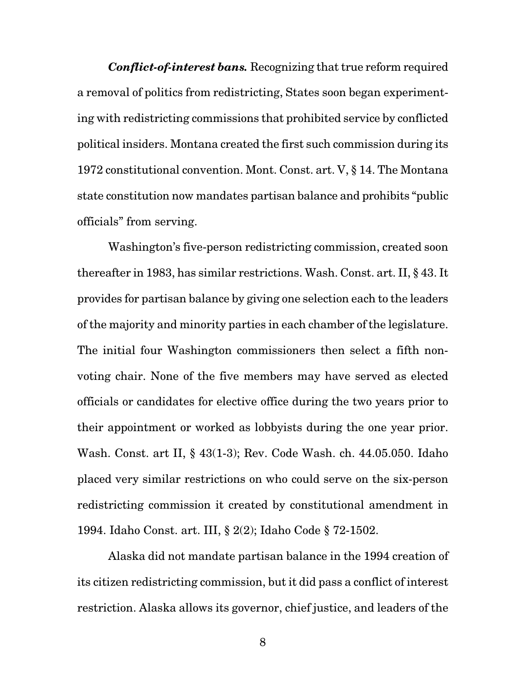*Conflict-of-interest bans.* Recognizing that true reform required a removal of politics from redistricting, States soon began experimenting with redistricting commissions that prohibited service by conflicted political insiders. Montana created the first such commission during its 1972 constitutional convention. Mont. Const. art. V, § 14. The Montana state constitution now mandates partisan balance and prohibits "public officials" from serving.

Washington's five-person redistricting commission, created soon thereafter in 1983, has similar restrictions. Wash. Const. art. II, § 43. It provides for partisan balance by giving one selection each to the leaders of the majority and minority parties in each chamber of the legislature. The initial four Washington commissioners then select a fifth nonvoting chair. None of the five members may have served as elected officials or candidates for elective office during the two years prior to their appointment or worked as lobbyists during the one year prior. Wash. Const. art II, § 43(1-3); Rev. Code Wash. ch. 44.05.050. Idaho placed very similar restrictions on who could serve on the six-person redistricting commission it created by constitutional amendment in 1994. Idaho Const. art. III, § 2(2); Idaho Code § 72-1502.

Alaska did not mandate partisan balance in the 1994 creation of its citizen redistricting commission, but it did pass a conflict of interest restriction. Alaska allows its governor, chief justice, and leaders of the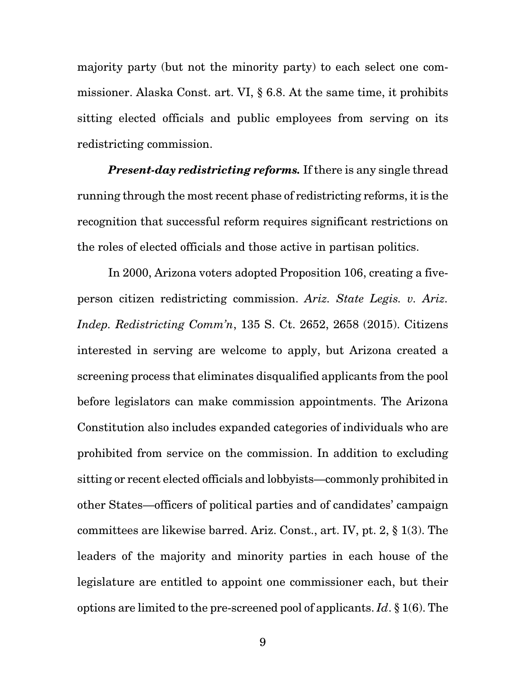majority party (but not the minority party) to each select one commissioner. Alaska Const. art. VI, § 6.8. At the same time, it prohibits sitting elected officials and public employees from serving on its redistricting commission.

*Present-day redistricting reforms.* If there is any single thread running through the most recent phase of redistricting reforms, it is the recognition that successful reform requires significant restrictions on the roles of elected officials and those active in partisan politics.

In 2000, Arizona voters adopted Proposition 106, creating a fiveperson citizen redistricting commission. *Ariz. State Legis. v. Ariz. Indep. Redistricting Comm'n*, 135 S. Ct. 2652, 2658 (2015). Citizens interested in serving are welcome to apply, but Arizona created a screening process that eliminates disqualified applicants from the pool before legislators can make commission appointments. The Arizona Constitution also includes expanded categories of individuals who are prohibited from service on the commission. In addition to excluding sitting or recent elected officials and lobbyists—commonly prohibited in other States—officers of political parties and of candidates' campaign committees are likewise barred. Ariz. Const., art. IV, pt. 2, § 1(3). The leaders of the majority and minority parties in each house of the legislature are entitled to appoint one commissioner each, but their options are limited to the pre-screened pool of applicants. *Id*. § 1(6). The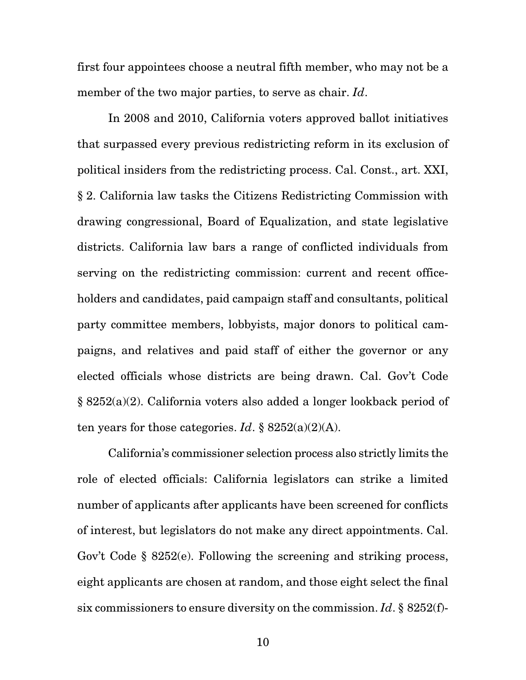first four appointees choose a neutral fifth member, who may not be a member of the two major parties, to serve as chair. *Id*.

In 2008 and 2010, California voters approved ballot initiatives that surpassed every previous redistricting reform in its exclusion of political insiders from the redistricting process. Cal. Const., art. XXI, § 2. California law tasks the Citizens Redistricting Commission with drawing congressional, Board of Equalization, and state legislative districts. California law bars a range of conflicted individuals from serving on the redistricting commission: current and recent officeholders and candidates, paid campaign staff and consultants, political party committee members, lobbyists, major donors to political campaigns, and relatives and paid staff of either the governor or any elected officials whose districts are being drawn. Cal. Gov't Code § 8252(a)(2). California voters also added a longer lookback period of ten years for those categories. *Id.* §  $8252(a)(2)(A)$ .

California's commissioner selection process also strictly limits the role of elected officials: California legislators can strike a limited number of applicants after applicants have been screened for conflicts of interest, but legislators do not make any direct appointments. Cal. Gov't Code § 8252(e). Following the screening and striking process, eight applicants are chosen at random, and those eight select the final six commissioners to ensure diversity on the commission. *Id*. § 8252(f)-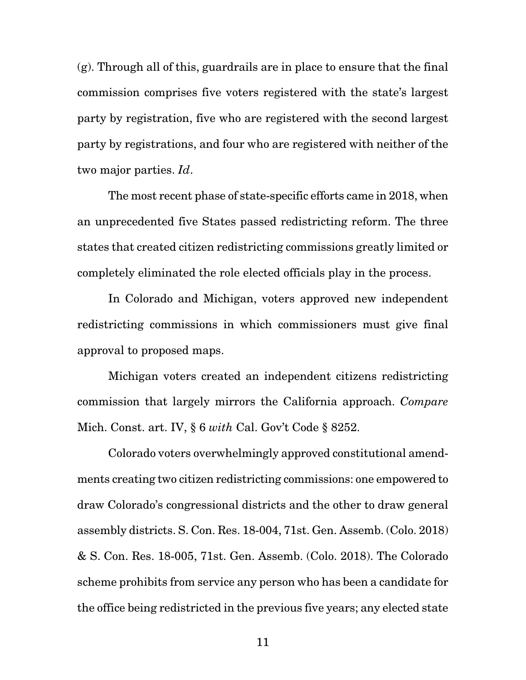(g). Through all of this, guardrails are in place to ensure that the final commission comprises five voters registered with the state's largest party by registration, five who are registered with the second largest party by registrations, and four who are registered with neither of the two major parties. *Id*.

The most recent phase of state-specific efforts came in 2018, when an unprecedented five States passed redistricting reform. The three states that created citizen redistricting commissions greatly limited or completely eliminated the role elected officials play in the process.

In Colorado and Michigan, voters approved new independent redistricting commissions in which commissioners must give final approval to proposed maps.

Michigan voters created an independent citizens redistricting commission that largely mirrors the California approach. *Compare* Mich. Const. art. IV, § 6 *with* Cal. Gov't Code § 8252.

Colorado voters overwhelmingly approved constitutional amendments creating two citizen redistricting commissions: one empowered to draw Colorado's congressional districts and the other to draw general assembly districts. S. Con. Res. 18-004, 71st. Gen. Assemb. (Colo. 2018) & S. Con. Res. 18-005, 71st. Gen. Assemb. (Colo. 2018). The Colorado scheme prohibits from service any person who has been a candidate for the office being redistricted in the previous five years; any elected state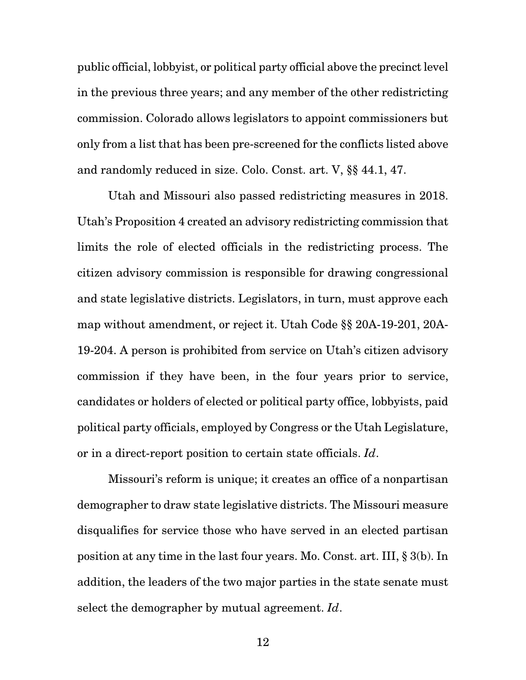public official, lobbyist, or political party official above the precinct level in the previous three years; and any member of the other redistricting commission. Colorado allows legislators to appoint commissioners but only from a list that has been pre-screened for the conflicts listed above and randomly reduced in size. Colo. Const. art. V, §§ 44.1, 47.

Utah and Missouri also passed redistricting measures in 2018. Utah's Proposition 4 created an advisory redistricting commission that limits the role of elected officials in the redistricting process. The citizen advisory commission is responsible for drawing congressional and state legislative districts. Legislators, in turn, must approve each map without amendment, or reject it. Utah Code §§ 20A-19-201, 20A-19-204. A person is prohibited from service on Utah's citizen advisory commission if they have been, in the four years prior to service, candidates or holders of elected or political party office, lobbyists, paid political party officials, employed by Congress or the Utah Legislature, or in a direct-report position to certain state officials. *Id*.

Missouri's reform is unique; it creates an office of a nonpartisan demographer to draw state legislative districts. The Missouri measure disqualifies for service those who have served in an elected partisan position at any time in the last four years. Mo. Const. art. III, § 3(b). In addition, the leaders of the two major parties in the state senate must select the demographer by mutual agreement. *Id*.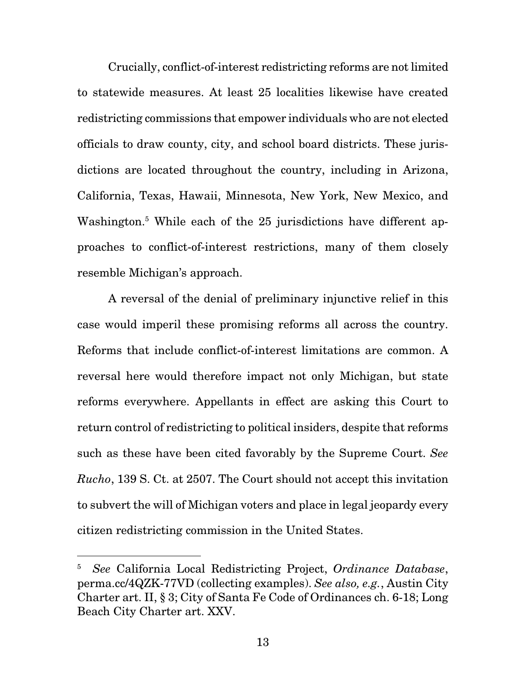Crucially, conflict-of-interest redistricting reforms are not limited to statewide measures. At least 25 localities likewise have created redistricting commissions that empower individuals who are not elected officials to draw county, city, and school board districts. These jurisdictions are located throughout the country, including in Arizona, California, Texas, Hawaii, Minnesota, New York, New Mexico, and Washington.<sup>5</sup> While each of the 25 jurisdictions have different approaches to conflict-of-interest restrictions, many of them closely resemble Michigan's approach.

A reversal of the denial of preliminary injunctive relief in this case would imperil these promising reforms all across the country. Reforms that include conflict-of-interest limitations are common. A reversal here would therefore impact not only Michigan, but state reforms everywhere. Appellants in effect are asking this Court to return control of redistricting to political insiders, despite that reforms such as these have been cited favorably by the Supreme Court. *See Rucho*, 139 S. Ct. at 2507. The Court should not accept this invitation to subvert the will of Michigan voters and place in legal jeopardy every citizen redistricting commission in the United States.

 $\overline{a}$ 

<sup>5</sup> *See* California Local Redistricting Project, *Ordinance Database*, perma.cc/4QZK-77VD (collecting examples). *See also, e.g.*, Austin City Charter art. II, § 3; City of Santa Fe Code of Ordinances ch. 6-18; Long Beach City Charter art. XXV.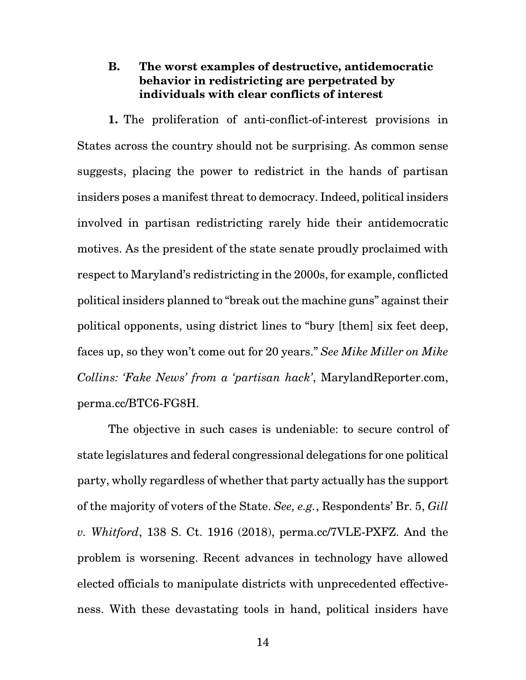### **B. The worst examples of destructive, antidemocratic behavior in redistricting are perpetrated by individuals with clear conflicts of interest**

**1.** The proliferation of anti-conflict-of-interest provisions in States across the country should not be surprising. As common sense suggests, placing the power to redistrict in the hands of partisan insiders poses a manifest threat to democracy. Indeed, political insiders involved in partisan redistricting rarely hide their antidemocratic motives. As the president of the state senate proudly proclaimed with respect to Maryland's redistricting in the 2000s, for example, conflicted political insiders planned to "break out the machine guns" against their political opponents, using district lines to "bury [them] six feet deep, faces up, so they won't come out for 20 years." *See Mike Miller on Mike Collins: 'Fake News' from a 'partisan hack'*, MarylandReporter.com, perma.cc/BTC6-FG8H.

The objective in such cases is undeniable: to secure control of state legislatures and federal congressional delegations for one political party, wholly regardless of whether that party actually has the support of the majority of voters of the State. *See, e.g.*, Respondents' Br. 5, *Gill v. Whitford*, 138 S. Ct. 1916 (2018), perma.cc/7VLE-PXFZ. And the problem is worsening. Recent advances in technology have allowed elected officials to manipulate districts with unprecedented effectiveness. With these devastating tools in hand, political insiders have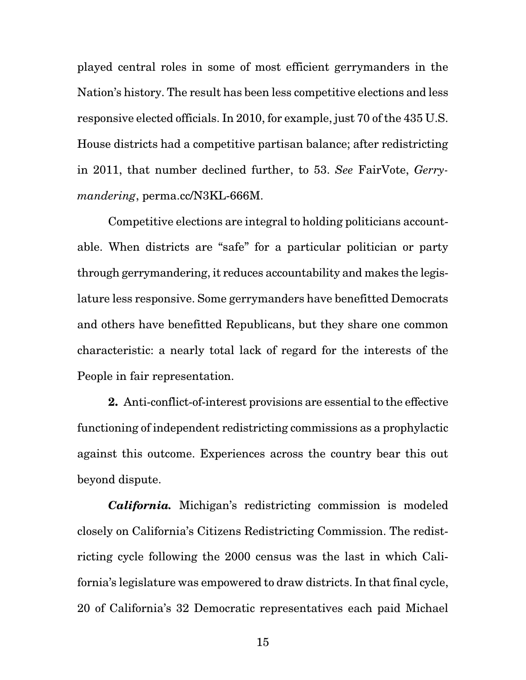played central roles in some of most efficient gerrymanders in the Nation's history. The result has been less competitive elections and less responsive elected officials. In 2010, for example, just 70 of the 435 U.S. House districts had a competitive partisan balance; after redistricting in 2011, that number declined further, to 53. *See* FairVote, *Gerrymandering*, perma.cc/N3KL-666M.

Competitive elections are integral to holding politicians accountable. When districts are "safe" for a particular politician or party through gerrymandering, it reduces accountability and makes the legislature less responsive. Some gerrymanders have benefitted Democrats and others have benefitted Republicans, but they share one common characteristic: a nearly total lack of regard for the interests of the People in fair representation.

**2.** Anti-conflict-of-interest provisions are essential to the effective functioning of independent redistricting commissions as a prophylactic against this outcome. Experiences across the country bear this out beyond dispute.

*California.* Michigan's redistricting commission is modeled closely on California's Citizens Redistricting Commission. The redistricting cycle following the 2000 census was the last in which California's legislature was empowered to draw districts. In that final cycle, 20 of California's 32 Democratic representatives each paid Michael

15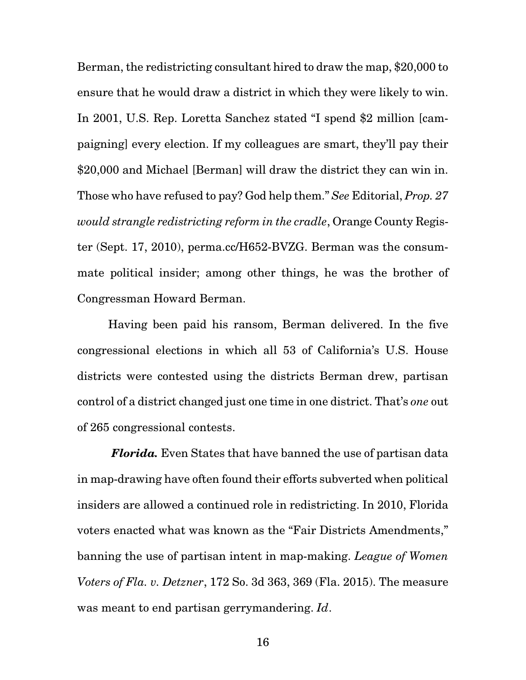Berman, the redistricting consultant hired to draw the map, \$20,000 to ensure that he would draw a district in which they were likely to win. In 2001, U.S. Rep. Loretta Sanchez stated "I spend \$2 million [campaigning] every election. If my colleagues are smart, they'll pay their \$20,000 and Michael [Berman] will draw the district they can win in. Those who have refused to pay? God help them." *See* Editorial, *Prop. 27 would strangle redistricting reform in the cradle*, Orange County Register (Sept. 17, 2010), perma.cc/H652-BVZG. Berman was the consummate political insider; among other things, he was the brother of Congressman Howard Berman.

Having been paid his ransom, Berman delivered. In the five congressional elections in which all 53 of California's U.S. House districts were contested using the districts Berman drew, partisan control of a district changed just one time in one district. That's *one* out of 265 congressional contests.

*Florida.* Even States that have banned the use of partisan data in map-drawing have often found their efforts subverted when political insiders are allowed a continued role in redistricting. In 2010, Florida voters enacted what was known as the "Fair Districts Amendments," banning the use of partisan intent in map-making. *League of Women Voters of Fla. v. Detzner*, 172 So. 3d 363, 369 (Fla. 2015). The measure was meant to end partisan gerrymandering. *Id*.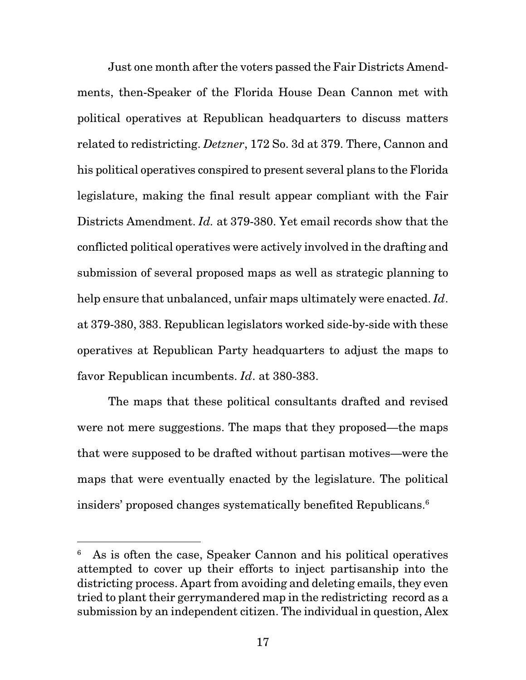Just one month after the voters passed the Fair Districts Amendments, then-Speaker of the Florida House Dean Cannon met with political operatives at Republican headquarters to discuss matters related to redistricting. *Detzner*, 172 So. 3d at 379. There, Cannon and his political operatives conspired to present several plans to the Florida legislature, making the final result appear compliant with the Fair Districts Amendment. *Id.* at 379-380. Yet email records show that the conflicted political operatives were actively involved in the drafting and submission of several proposed maps as well as strategic planning to help ensure that unbalanced, unfair maps ultimately were enacted. *Id*. at 379-380, 383. Republican legislators worked side-by-side with these operatives at Republican Party headquarters to adjust the maps to favor Republican incumbents. *Id*. at 380-383.

The maps that these political consultants drafted and revised were not mere suggestions. The maps that they proposed—the maps that were supposed to be drafted without partisan motives—were the maps that were eventually enacted by the legislature. The political insiders' proposed changes systematically benefited Republicans.6

 $\overline{a}$ 

<sup>6</sup> As is often the case, Speaker Cannon and his political operatives attempted to cover up their efforts to inject partisanship into the districting process. Apart from avoiding and deleting emails, they even tried to plant their gerrymandered map in the redistricting record as a submission by an independent citizen. The individual in question, Alex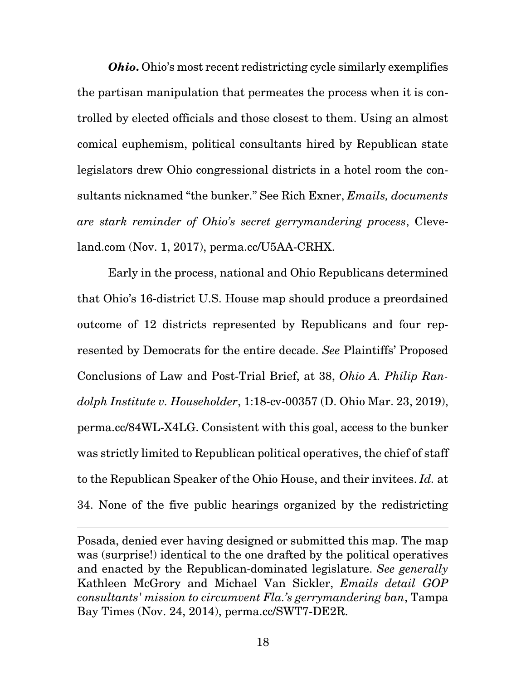*Ohio***.** Ohio's most recent redistricting cycle similarly exemplifies the partisan manipulation that permeates the process when it is controlled by elected officials and those closest to them. Using an almost comical euphemism, political consultants hired by Republican state legislators drew Ohio congressional districts in a hotel room the consultants nicknamed "the bunker." See Rich Exner, *Emails, documents are stark reminder of Ohio's secret gerrymandering process*, Cleveland.com (Nov. 1, 2017), perma.cc/U5AA-CRHX.

Early in the process, national and Ohio Republicans determined that Ohio's 16-district U.S. House map should produce a preordained outcome of 12 districts represented by Republicans and four represented by Democrats for the entire decade. *See* Plaintiffs' Proposed Conclusions of Law and Post-Trial Brief, at 38, *Ohio A. Philip Randolph Institute v. Householder*, 1:18-cv-00357 (D. Ohio Mar. 23, 2019), perma.cc/84WL-X4LG. Consistent with this goal, access to the bunker was strictly limited to Republican political operatives, the chief of staff to the Republican Speaker of the Ohio House, and their invitees. *Id.* at 34. None of the five public hearings organized by the redistricting

-

Posada, denied ever having designed or submitted this map. The map was (surprise!) identical to the one drafted by the political operatives and enacted by the Republican-dominated legislature. *See generally* Kathleen McGrory and Michael Van Sickler, *Emails detail GOP consultants' mission to circumvent Fla.'s gerrymandering ban*, Tampa Bay Times (Nov. 24, 2014), perma.cc/SWT7-DE2R.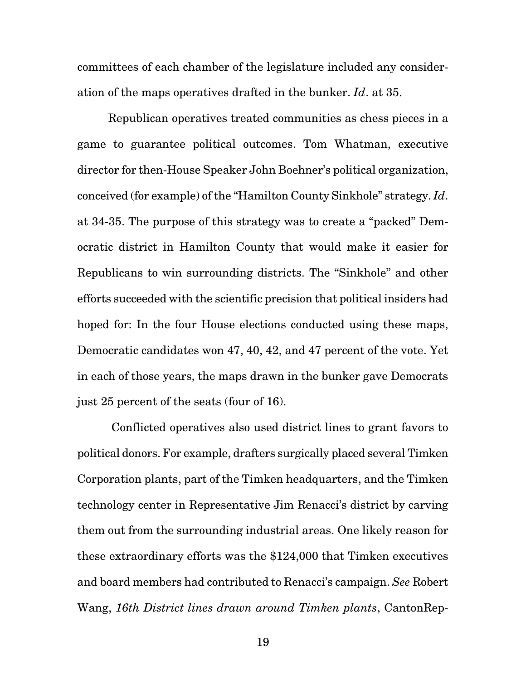committees of each chamber of the legislature included any consideration of the maps operatives drafted in the bunker. *Id*. at 35.

Republican operatives treated communities as chess pieces in a game to guarantee political outcomes. Tom Whatman, executive director for then-House Speaker John Boehner's political organization, conceived (for example) of the "Hamilton County Sinkhole" strategy. *Id*. at 34-35. The purpose of this strategy was to create a "packed" Democratic district in Hamilton County that would make it easier for Republicans to win surrounding districts. The "Sinkhole" and other efforts succeeded with the scientific precision that political insiders had hoped for: In the four House elections conducted using these maps, Democratic candidates won 47, 40, 42, and 47 percent of the vote. Yet in each of those years, the maps drawn in the bunker gave Democrats just 25 percent of the seats (four of 16).

 Conflicted operatives also used district lines to grant favors to political donors. For example, drafters surgically placed several Timken Corporation plants, part of the Timken headquarters, and the Timken technology center in Representative Jim Renacci's district by carving them out from the surrounding industrial areas. One likely reason for these extraordinary efforts was the \$124,000 that Timken executives and board members had contributed to Renacci's campaign. *See* Robert Wang, *16th District lines drawn around Timken plants*, CantonRep-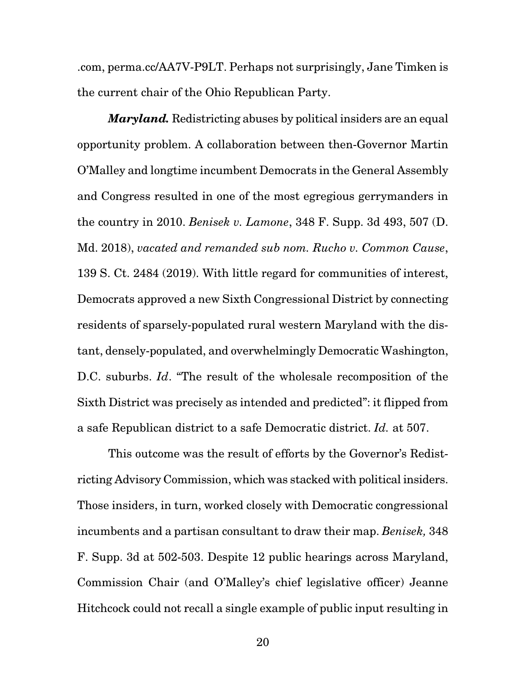.com, perma.cc/AA7V-P9LT. Perhaps not surprisingly, Jane Timken is the current chair of the Ohio Republican Party.

*Maryland.* Redistricting abuses by political insiders are an equal opportunity problem. A collaboration between then-Governor Martin O'Malley and longtime incumbent Democrats in the General Assembly and Congress resulted in one of the most egregious gerrymanders in the country in 2010. *Benisek v. Lamone*, 348 F. Supp. 3d 493, 507 (D. Md. 2018), *vacated and remanded sub nom. Rucho v. Common Cause*, 139 S. Ct. 2484 (2019). With little regard for communities of interest, Democrats approved a new Sixth Congressional District by connecting residents of sparsely-populated rural western Maryland with the distant, densely-populated, and overwhelmingly Democratic Washington, D.C. suburbs. *Id*. "The result of the wholesale recomposition of the Sixth District was precisely as intended and predicted": it flipped from a safe Republican district to a safe Democratic district. *Id.* at 507.

This outcome was the result of efforts by the Governor's Redistricting Advisory Commission, which was stacked with political insiders. Those insiders, in turn, worked closely with Democratic congressional incumbents and a partisan consultant to draw their map. *Benisek,* 348 F. Supp. 3d at 502-503. Despite 12 public hearings across Maryland, Commission Chair (and O'Malley's chief legislative officer) Jeanne Hitchcock could not recall a single example of public input resulting in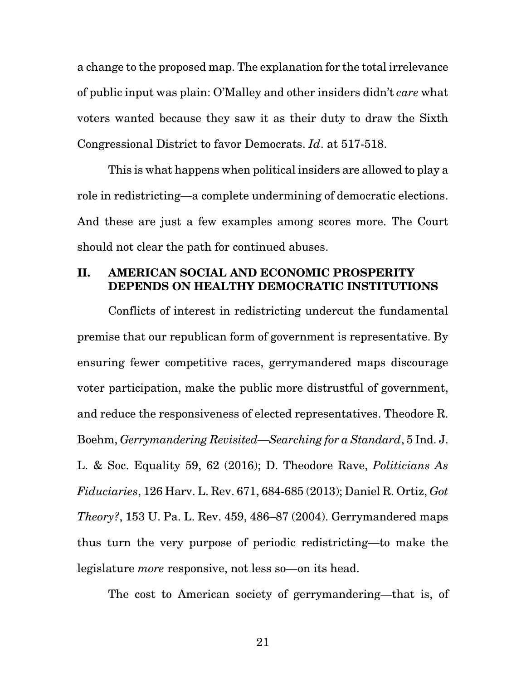a change to the proposed map. The explanation for the total irrelevance of public input was plain: O'Malley and other insiders didn't *care* what voters wanted because they saw it as their duty to draw the Sixth Congressional District to favor Democrats. *Id*. at 517-518.

This is what happens when political insiders are allowed to play a role in redistricting—a complete undermining of democratic elections. And these are just a few examples among scores more. The Court should not clear the path for continued abuses.

#### **II. AMERICAN SOCIAL AND ECONOMIC PROSPERITY DEPENDS ON HEALTHY DEMOCRATIC INSTITUTIONS**

Conflicts of interest in redistricting undercut the fundamental premise that our republican form of government is representative. By ensuring fewer competitive races, gerrymandered maps discourage voter participation, make the public more distrustful of government, and reduce the responsiveness of elected representatives. Theodore R. Boehm, *Gerrymandering Revisited—Searching for a Standard*, 5 Ind. J. L. & Soc. Equality 59, 62 (2016); D. Theodore Rave, *Politicians As Fiduciaries*, 126 Harv. L. Rev. 671, 684-685 (2013); Daniel R. Ortiz, *Got Theory?*, 153 U. Pa. L. Rev. 459, 486–87 (2004). Gerrymandered maps thus turn the very purpose of periodic redistricting—to make the legislature *more* responsive, not less so—on its head.

The cost to American society of gerrymandering—that is, of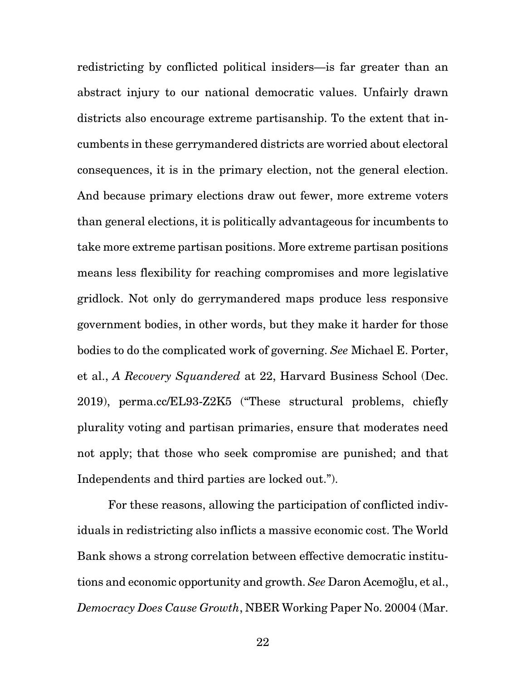redistricting by conflicted political insiders—is far greater than an abstract injury to our national democratic values. Unfairly drawn districts also encourage extreme partisanship. To the extent that incumbents in these gerrymandered districts are worried about electoral consequences, it is in the primary election, not the general election. And because primary elections draw out fewer, more extreme voters than general elections, it is politically advantageous for incumbents to take more extreme partisan positions. More extreme partisan positions means less flexibility for reaching compromises and more legislative gridlock. Not only do gerrymandered maps produce less responsive government bodies, in other words, but they make it harder for those bodies to do the complicated work of governing. *See* Michael E. Porter, et al., *A Recovery Squandered* at 22, Harvard Business School (Dec. 2019), perma.cc/EL93-Z2K5 ("These structural problems, chiefly plurality voting and partisan primaries, ensure that moderates need not apply; that those who seek compromise are punished; and that Independents and third parties are locked out.").

For these reasons, allowing the participation of conflicted individuals in redistricting also inflicts a massive economic cost. The World Bank shows a strong correlation between effective democratic institutions and economic opportunity and growth. *See* Daron Acemoğlu, et al., *Democracy Does Cause Growth*, NBER Working Paper No. 20004 (Mar.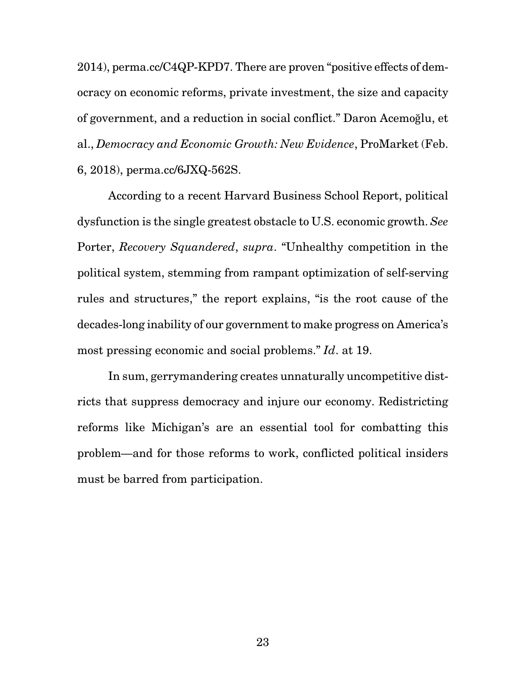2014), perma.cc/C4QP-KPD7. There are proven "positive effects of democracy on economic reforms, private investment, the size and capacity of government, and a reduction in social conflict." Daron Acemoğlu, et al., *Democracy and Economic Growth: New Evidence*, ProMarket (Feb. 6, 2018), perma.cc/6JXQ-562S.

According to a recent Harvard Business School Report, political dysfunction is the single greatest obstacle to U.S. economic growth. *See* Porter, *Recovery Squandered*, *supra*. "Unhealthy competition in the political system, stemming from rampant optimization of self-serving rules and structures," the report explains, "is the root cause of the decades-long inability of our government to make progress on America's most pressing economic and social problems." *Id*. at 19.

In sum, gerrymandering creates unnaturally uncompetitive districts that suppress democracy and injure our economy. Redistricting reforms like Michigan's are an essential tool for combatting this problem—and for those reforms to work, conflicted political insiders must be barred from participation.

23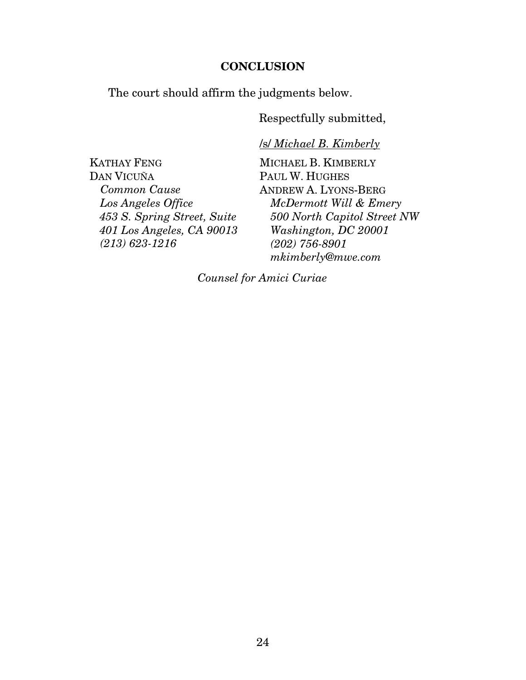#### **CONCLUSION**

The court should affirm the judgments below.

Respectfully submitted,

/s/ *Michael B. Kimberly* 

KATHAY FENG DAN VICUÑA *Common Cause Los Angeles Office 453 S. Spring Street, Suite 401 Los Angeles, CA 90013 (213) 623-1216*

MICHAEL B. KIMBERLY PAUL W. HUGHES ANDREW A. LYONS-BERG *McDermott Will & Emery 500 North Capitol Street NW Washington, DC 20001 (202) 756-8901 mkimberly@mwe.com*

*Counsel for Amici Curiae*